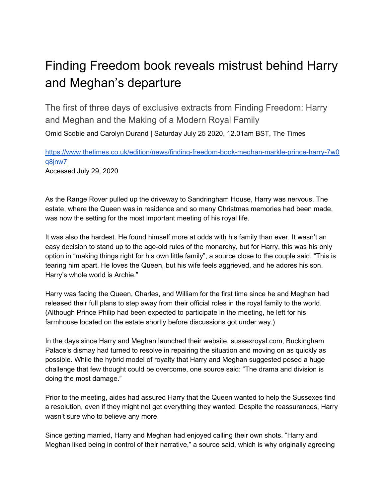## Finding Freedom book reveals mistrust behind Harry and Meghan's departure

The first of three days of exclusive extracts from Finding Freedom: Harry and Meghan and the Making of a Modern Royal Family Omid Scobie and Carolyn Durand | Saturday July 25 2020, 12.01am BST, The Times

[https://www.thetimes.co.uk/edition/news/finding-freedom-book-meghan-markle-prince-harry-7w0](https://www.thetimes.co.uk/edition/news/finding-freedom-book-meghan-markle-prince-harry-7w0q8jnw7) [q8jnw7](https://www.thetimes.co.uk/edition/news/finding-freedom-book-meghan-markle-prince-harry-7w0q8jnw7) Accessed July 29, 2020

As the Range Rover pulled up the driveway to Sandringham House, Harry was nervous. The estate, where the Queen was in residence and so many Christmas memories had been made, was now the setting for the most important meeting of his royal life.

It was also the hardest. He found himself more at odds with his family than ever. It wasn't an easy decision to stand up to the age-old rules of the monarchy, but for Harry, this was his only option in "making things right for his own little family", a source close to the couple said. "This is tearing him apart. He loves the Queen, but his wife feels aggrieved, and he adores his son. Harry's whole world is Archie."

Harry was facing the Queen, Charles, and William for the first time since he and Meghan had released their full plans to step away from their official roles in the royal family to the world. (Although Prince Philip had been expected to participate in the meeting, he left for his farmhouse located on the estate shortly before discussions got under way.)

In the days since Harry and Meghan launched their website, sussexroyal.com, Buckingham Palace's dismay had turned to resolve in repairing the situation and moving on as quickly as possible. While the hybrid model of royalty that Harry and Meghan suggested posed a huge challenge that few thought could be overcome, one source said: "The drama and division is doing the most damage."

Prior to the meeting, aides had assured Harry that the Queen wanted to help the Sussexes find a resolution, even if they might not get everything they wanted. Despite the reassurances, Harry wasn't sure who to believe any more.

Since getting married, Harry and Meghan had enjoyed calling their own shots. "Harry and Meghan liked being in control of their narrative," a source said, which is why originally agreeing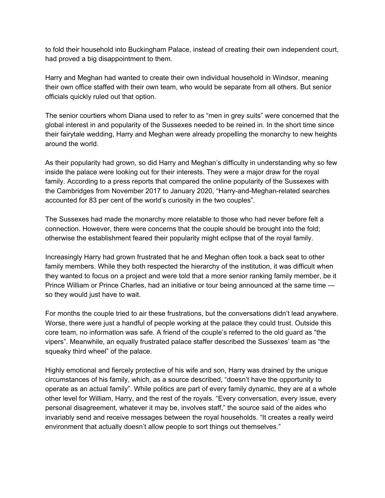to fold their household into Buckingham Palace, instead of creating their own independent court, had proved a big disappointment to them.

Harry and Meghan had wanted to create their own individual household in Windsor, meaning their own office staffed with their own team, who would be separate from all others. But senior officials quickly ruled out that option.

The senior courtiers whom Diana used to refer to as "men in grey suits" were concerned that the global interest in and popularity of the Sussexes needed to be reined in. In the short time since their fairytale wedding, Harry and Meghan were already propelling the monarchy to new heights around the world.

As their popularity had grown, so did Harry and Meghan's difficulty in understanding why so few inside the palace were looking out for their interests. They were a major draw for the royal family. According to a press reports that compared the online popularity of the Sussexes with the Cambridges from November 2017 to January 2020, "Harry-and-Meghan-related searches accounted for 83 per cent of the world's curiosity in the two couples".

The Sussexes had made the monarchy more relatable to those who had never before felt a connection. However, there were concerns that the couple should be brought into the fold; otherwise the establishment feared their popularity might eclipse that of the royal family.

Increasingly Harry had grown frustrated that he and Meghan often took a back seat to other family members. While they both respected the hierarchy of the institution, it was difficult when they wanted to focus on a project and were told that a more senior ranking family member, be it Prince William or Prince Charles, had an initiative or tour being announced at the same time so they would just have to wait.

For months the couple tried to air these frustrations, but the conversations didn't lead anywhere. Worse, there were just a handful of people working at the palace they could trust. Outside this core team, no information was safe. A friend of the couple's referred to the old guard as "the vipers". Meanwhile, an equally frustrated palace staffer described the Sussexes' team as "the squeaky third wheel" of the palace.

Highly emotional and fiercely protective of his wife and son, Harry was drained by the unique circumstances of his family, which, as a source described, "doesn't have the opportunity to operate as an actual family". While politics are part of every family dynamic, they are at a whole other level for William, Harry, and the rest of the royals. "Every conversation, every issue, every personal disagreement, whatever it may be, involves staff," the source said of the aides who invariably send and receive messages between the royal households. "It creates a really weird environment that actually doesn't allow people to sort things out themselves."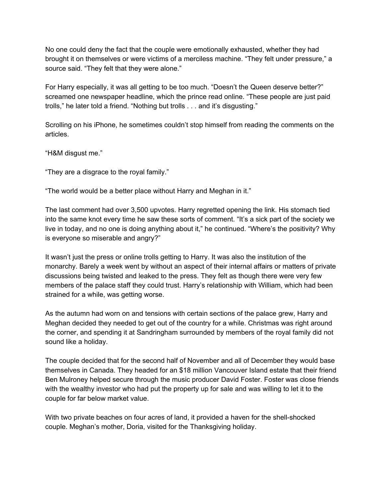No one could deny the fact that the couple were emotionally exhausted, whether they had brought it on themselves or were victims of a merciless machine. "They felt under pressure," a source said. "They felt that they were alone."

For Harry especially, it was all getting to be too much. "Doesn't the Queen deserve better?" screamed one newspaper headline, which the prince read online. "These people are just paid trolls," he later told a friend. "Nothing but trolls . . . and it's disgusting."

Scrolling on his iPhone, he sometimes couldn't stop himself from reading the comments on the articles.

"H&M disgust me."

"They are a disgrace to the royal family."

"The world would be a better place without Harry and Meghan in it."

The last comment had over 3,500 upvotes. Harry regretted opening the link. His stomach tied into the same knot every time he saw these sorts of comment. "It's a sick part of the society we live in today, and no one is doing anything about it," he continued. "Where's the positivity? Why is everyone so miserable and angry?"

It wasn't just the press or online trolls getting to Harry. It was also the institution of the monarchy. Barely a week went by without an aspect of their internal affairs or matters of private discussions being twisted and leaked to the press. They felt as though there were very few members of the palace staff they could trust. Harry's relationship with William, which had been strained for a while, was getting worse.

As the autumn had worn on and tensions with certain sections of the palace grew, Harry and Meghan decided they needed to get out of the country for a while. Christmas was right around the corner, and spending it at Sandringham surrounded by members of the royal family did not sound like a holiday.

The couple decided that for the second half of November and all of December they would base themselves in Canada. They headed for an \$18 million Vancouver Island estate that their friend Ben Mulroney helped secure through the music producer David Foster. Foster was close friends with the wealthy investor who had put the property up for sale and was willing to let it to the couple for far below market value.

With two private beaches on four acres of land, it provided a haven for the shell-shocked couple. Meghan's mother, Doria, visited for the Thanksgiving holiday.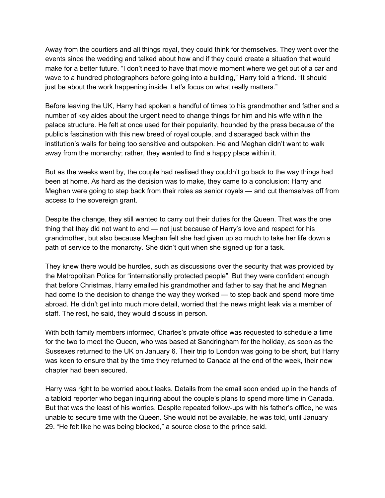Away from the courtiers and all things royal, they could think for themselves. They went over the events since the wedding and talked about how and if they could create a situation that would make for a better future. "I don't need to have that movie moment where we get out of a car and wave to a hundred photographers before going into a building," Harry told a friend. "It should just be about the work happening inside. Let's focus on what really matters."

Before leaving the UK, Harry had spoken a handful of times to his grandmother and father and a number of key aides about the urgent need to change things for him and his wife within the palace structure. He felt at once used for their popularity, hounded by the press because of the public's fascination with this new breed of royal couple, and disparaged back within the institution's walls for being too sensitive and outspoken. He and Meghan didn't want to walk away from the monarchy; rather, they wanted to find a happy place within it.

But as the weeks went by, the couple had realised they couldn't go back to the way things had been at home. As hard as the decision was to make, they came to a conclusion: Harry and Meghan were going to step back from their roles as senior royals — and cut themselves off from access to the sovereign grant.

Despite the change, they still wanted to carry out their duties for the Queen. That was the one thing that they did not want to end — not just because of Harry's love and respect for his grandmother, but also because Meghan felt she had given up so much to take her life down a path of service to the monarchy. She didn't quit when she signed up for a task.

They knew there would be hurdles, such as discussions over the security that was provided by the Metropolitan Police for "internationally protected people". But they were confident enough that before Christmas, Harry emailed his grandmother and father to say that he and Meghan had come to the decision to change the way they worked — to step back and spend more time abroad. He didn't get into much more detail, worried that the news might leak via a member of staff. The rest, he said, they would discuss in person.

With both family members informed, Charles's private office was requested to schedule a time for the two to meet the Queen, who was based at Sandringham for the holiday, as soon as the Sussexes returned to the UK on January 6. Their trip to London was going to be short, but Harry was keen to ensure that by the time they returned to Canada at the end of the week, their new chapter had been secured.

Harry was right to be worried about leaks. Details from the email soon ended up in the hands of a tabloid reporter who began inquiring about the couple's plans to spend more time in Canada. But that was the least of his worries. Despite repeated follow-ups with his father's office, he was unable to secure time with the Queen. She would not be available, he was told, until January 29. "He felt like he was being blocked," a source close to the prince said.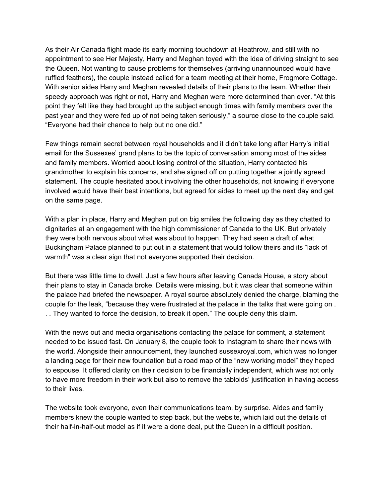As their Air Canada flight made its early morning touchdown at Heathrow, and still with no appointment to see Her Majesty, Harry and Meghan toyed with the idea of driving straight to see the Queen. Not wanting to cause problems for themselves (arriving unannounced would have ruffled feathers), the couple instead called for a team meeting at their home, Frogmore Cottage. With senior aides Harry and Meghan revealed details of their plans to the team. Whether their speedy approach was right or not, Harry and Meghan were more determined than ever. "At this point they felt like they had brought up the subject enough times with family members over the past year and they were fed up of not being taken seriously," a source close to the couple said. "Everyone had their chance to help but no one did."

Few things remain secret between royal households and it didn't take long after Harry's initial email for the Sussexes' grand plans to be the topic of conversation among most of the aides and family members. Worried about losing control of the situation, Harry contacted his grandmother to explain his concerns, and she signed off on putting together a jointly agreed statement. The couple hesitated about involving the other households, not knowing if everyone involved would have their best intentions, but agreed for aides to meet up the next day and get on the same page.

With a plan in place, Harry and Meghan put on big smiles the following day as they chatted to dignitaries at an engagement with the high commissioner of Canada to the UK. But privately they were both nervous about what was about to happen. They had seen a draft of what Buckingham Palace planned to put out in a statement that would follow theirs and its "lack of warmth" was a clear sign that not everyone supported their decision.

But there was little time to dwell. Just a few hours after leaving Canada House, a story about their plans to stay in Canada broke. Details were missing, but it was clear that someone within the palace had briefed the newspaper. A royal source absolutely denied the charge, blaming the couple for the leak, "because they were frustrated at the palace in the talks that were going on . . . They wanted to force the decision, to break it open." The couple deny this claim.

With the news out and media organisations contacting the palace for comment, a statement needed to be issued fast. On January 8, the couple took to Instagram to share their news with the world. Alongside their announcement, they launched sussexroyal.com, which was no longer a landing page for their new foundation but a road map of the "new working model" they hoped to espouse. It offered clarity on their decision to be financially independent, which was not only to have more freedom in their work but also to remove the tabloids' justification in having access to their lives.

The website took everyone, even their communications team, by surprise. Aides and family members knew the couple wanted to step back, but the website, which laid out the details of their half-in-half-out model as if it were a done deal, put the Queen in a difficult position.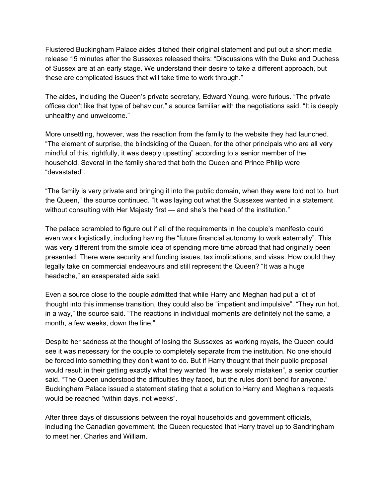Flustered Buckingham Palace aides ditched their original statement and put out a short media release 15 minutes after the Sussexes released theirs: "Discussions with the Duke and Duchess of Sussex are at an early stage. We understand their desire to take a different approach, but these are complicated issues that will take time to work through."

The aides, including the Queen's private secretary, Edward Young, were furious. "The private offices don't like that type of behaviour," a source familiar with the negotiations said. "It is deeply unhealthy and unwelcome."

More unsettling, however, was the reaction from the family to the website they had launched. "The element of surprise, the blindsiding of the Queen, for the other principals who are all very mindful of this, rightfully, it was deeply upsetting" according to a senior member of the household. Several in the family shared that both the Queen and Prince Philip were "devastated".

"The family is very private and bringing it into the public domain, when they were told not to, hurt the Queen," the source continued. "It was laying out what the Sussexes wanted in a statement without consulting with Her Majesty first — and she's the head of the institution."

The palace scrambled to figure out if all of the requirements in the couple's manifesto could even work logistically, including having the "future financial autonomy to work externally". This was very different from the simple idea of spending more time abroad that had originally been presented. There were security and funding issues, tax implications, and visas. How could they legally take on commercial endeavours and still represent the Queen? "It was a huge headache," an exasperated aide said.

Even a source close to the couple admitted that while Harry and Meghan had put a lot of thought into this immense transition, they could also be "impatient and impulsive". "They run hot, in a way," the source said. "The reactions in individual moments are definitely not the same, a month, a few weeks, down the line."

Despite her sadness at the thought of losing the Sussexes as working royals, the Queen could see it was necessary for the couple to completely separate from the institution. No one should be forced into something they don't want to do. But if Harry thought that their public proposal would result in their getting exactly what they wanted "he was sorely mistaken", a senior courtier said. "The Queen understood the difficulties they faced, but the rules don't bend for anyone." Buckingham Palace issued a statement stating that a solution to Harry and Meghan's requests would be reached "within days, not weeks".

After three days of discussions between the royal households and government officials, including the Canadian government, the Queen requested that Harry travel up to Sandringham to meet her, Charles and William.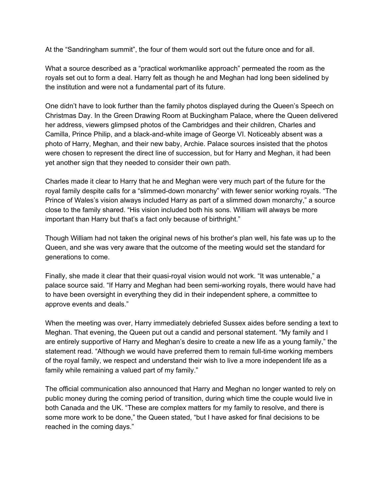At the "Sandringham summit", the four of them would sort out the future once and for all.

What a source described as a "practical workmanlike approach" permeated the room as the royals set out to form a deal. Harry felt as though he and Meghan had long been sidelined by the institution and were not a fundamental part of its future.

One didn't have to look further than the family photos displayed during the Queen's Speech on Christmas Day. In the Green Drawing Room at Buckingham Palace, where the Queen delivered her address, viewers glimpsed photos of the Cambridges and their children, Charles and Camilla, Prince Philip, and a black-and-white image of George VI. Noticeably absent was a photo of Harry, Meghan, and their new baby, Archie. Palace sources insisted that the photos were chosen to represent the direct line of succession, but for Harry and Meghan, it had been yet another sign that they needed to consider their own path.

Charles made it clear to Harry that he and Meghan were very much part of the future for the royal family despite calls for a "slimmed-down monarchy" with fewer senior working royals. "The Prince of Wales's vision always included Harry as part of a slimmed down monarchy," a source close to the family shared. "His vision included both his sons. William will always be more important than Harry but that's a fact only because of birthright."

Though William had not taken the original news of his brother's plan well, his fate was up to the Queen, and she was very aware that the outcome of the meeting would set the standard for generations to come.

Finally, she made it clear that their quasi-royal vision would not work. "It was untenable," a palace source said. "If Harry and Meghan had been semi-working royals, there would have had to have been oversight in everything they did in their independent sphere, a committee to approve events and deals."

When the meeting was over, Harry immediately debriefed Sussex aides before sending a text to Meghan. That evening, the Queen put out a candid and personal statement. "My family and I are entirely supportive of Harry and Meghan's desire to create a new life as a young family," the statement read. "Although we would have preferred them to remain full-time working members of the royal family, we respect and understand their wish to live a more independent life as a family while remaining a valued part of my family."

The official communication also announced that Harry and Meghan no longer wanted to rely on public money during the coming period of transition, during which time the couple would live in both Canada and the UK. "These are complex matters for my family to resolve, and there is some more work to be done," the Queen stated, "but I have asked for final decisions to be reached in the coming days."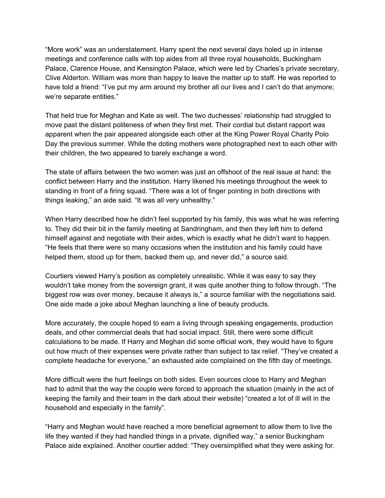"More work" was an understatement. Harry spent the next several days holed up in intense meetings and conference calls with top aides from all three royal households, Buckingham Palace, Clarence House, and Kensington Palace, which were led by Charles's private secretary, Clive Alderton. William was more than happy to leave the matter up to staff. He was reported to have told a friend: "I've put my arm around my brother all our lives and I can't do that anymore; we're separate entities."

That held true for Meghan and Kate as well. The two duchesses' relationship had struggled to move past the distant politeness of when they first met. Their cordial but distant rapport was apparent when the pair appeared alongside each other at the King Power Royal Charity Polo Day the previous summer. While the doting mothers were photographed next to each other with their children, the two appeared to barely exchange a word.

The state of affairs between the two women was just an offshoot of the real issue at hand: the conflict between Harry and the institution. Harry likened his meetings throughout the week to standing in front of a firing squad. "There was a lot of finger pointing in both directions with things leaking," an aide said. "It was all very unhealthy."

When Harry described how he didn't feel supported by his family, this was what he was referring to. They did their bit in the family meeting at Sandringham, and then they left him to defend himself against and negotiate with their aides, which is exactly what he didn't want to happen. "He feels that there were so many occasions when the institution and his family could have helped them, stood up for them, backed them up, and never did," a source said.

Courtiers viewed Harry's position as completely unrealistic. While it was easy to say they wouldn't take money from the sovereign grant, it was quite another thing to follow through. "The biggest row was over money, because it always is," a source familiar with the negotiations said. One aide made a joke about Meghan launching a line of beauty products.

More accurately, the couple hoped to earn a living through speaking engagements, production deals, and other commercial deals that had social impact. Still, there were some difficult calculations to be made. If Harry and Meghan did some official work, they would have to figure out how much of their expenses were private rather than subject to tax relief. "They've created a complete headache for everyone," an exhausted aide complained on the fifth day of meetings.

More difficult were the hurt feelings on both sides. Even sources close to Harry and Meghan had to admit that the way the couple were forced to approach the situation (mainly in the act of keeping the family and their team in the dark about their website) "created a lot of ill will in the household and especially in the family".

"Harry and Meghan would have reached a more beneficial agreement to allow them to live the life they wanted if they had handled things in a private, dignified way," a senior Buckingham Palace aide explained. Another courtier added: "They oversimplified what they were asking for.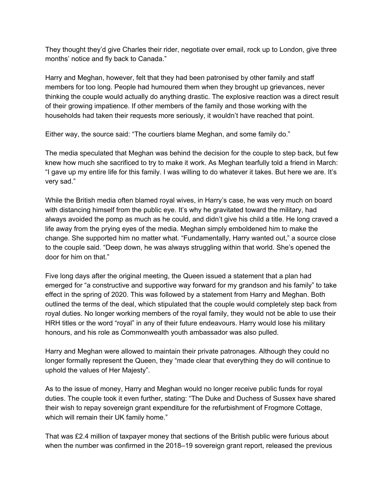They thought they'd give Charles their rider, negotiate over email, rock up to London, give three months' notice and fly back to Canada."

Harry and Meghan, however, felt that they had been patronised by other family and staff members for too long. People had humoured them when they brought up grievances, never thinking the couple would actually do anything drastic. The explosive reaction was a direct result of their growing impatience. If other members of the family and those working with the households had taken their requests more seriously, it wouldn't have reached that point.

Either way, the source said: "The courtiers blame Meghan, and some family do."

The media speculated that Meghan was behind the decision for the couple to step back, but few knew how much she sacrificed to try to make it work. As Meghan tearfully told a friend in March: "I gave up my entire life for this family. I was willing to do whatever it takes. But here we are. It's very sad."

While the British media often blamed royal wives, in Harry's case, he was very much on board with distancing himself from the public eye. It's why he gravitated toward the military, had always avoided the pomp as much as he could, and didn't give his child a title. He long craved a life away from the prying eyes of the media. Meghan simply emboldened him to make the change. She supported him no matter what. "Fundamentally, Harry wanted out," a source close to the couple said. "Deep down, he was always struggling within that world. She's opened the door for him on that."

Five long days after the original meeting, the Queen issued a statement that a plan had emerged for "a constructive and supportive way forward for my grandson and his family" to take effect in the spring of 2020. This was followed by a statement from Harry and Meghan. Both outlined the terms of the deal, which stipulated that the couple would completely step back from royal duties. No longer working members of the royal family, they would not be able to use their HRH titles or the word "royal" in any of their future endeavours. Harry would lose his military honours, and his role as Commonwealth youth ambassador was also pulled.

Harry and Meghan were allowed to maintain their private patronages. Although they could no longer formally represent the Queen, they "made clear that everything they do will continue to uphold the values of Her Majesty".

As to the issue of money, Harry and Meghan would no longer receive public funds for royal duties. The couple took it even further, stating: "The Duke and Duchess of Sussex have shared their wish to repay sovereign grant expenditure for the refurbishment of Frogmore Cottage, which will remain their UK family home."

That was £2.4 million of taxpayer money that sections of the British public were furious about when the number was confirmed in the 2018–19 sovereign grant report, released the previous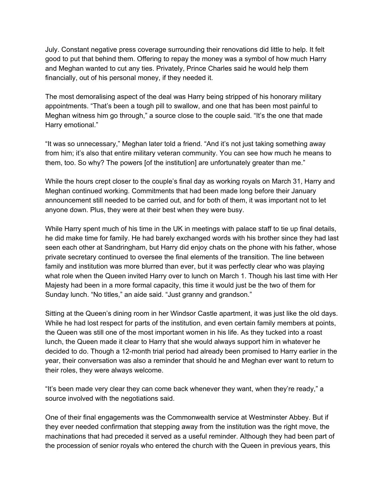July. Constant negative press coverage surrounding their renovations did little to help. It felt good to put that behind them. Offering to repay the money was a symbol of how much Harry and Meghan wanted to cut any ties. Privately, Prince Charles said he would help them financially, out of his personal money, if they needed it.

The most demoralising aspect of the deal was Harry being stripped of his honorary military appointments. "That's been a tough pill to swallow, and one that has been most painful to Meghan witness him go through," a source close to the couple said. "It's the one that made Harry emotional."

"It was so unnecessary," Meghan later told a friend. "And it's not just taking something away from him; it's also that entire military veteran community. You can see how much he means to them, too. So why? The powers [of the institution] are unfortunately greater than me."

While the hours crept closer to the couple's final day as working royals on March 31, Harry and Meghan continued working. Commitments that had been made long before their January announcement still needed to be carried out, and for both of them, it was important not to let anyone down. Plus, they were at their best when they were busy.

While Harry spent much of his time in the UK in meetings with palace staff to tie up final details, he did make time for family. He had barely exchanged words with his brother since they had last seen each other at Sandringham, but Harry did enjoy chats on the phone with his father, whose private secretary continued to oversee the final elements of the transition. The line between family and institution was more blurred than ever, but it was perfectly clear who was playing what role when the Queen invited Harry over to lunch on March 1. Though his last time with Her Majesty had been in a more formal capacity, this time it would just be the two of them for Sunday lunch. "No titles," an aide said. "Just granny and grandson."

Sitting at the Queen's dining room in her Windsor Castle apartment, it was just like the old days. While he had lost respect for parts of the institution, and even certain family members at points, the Queen was still one of the most important women in his life. As they tucked into a roast lunch, the Queen made it clear to Harry that she would always support him in whatever he decided to do. Though a 12-month trial period had already been promised to Harry earlier in the year, their conversation was also a reminder that should he and Meghan ever want to return to their roles, they were always welcome.

"It's been made very clear they can come back whenever they want, when they're ready," a source involved with the negotiations said.

One of their final engagements was the Commonwealth service at Westminster Abbey. But if they ever needed confirmation that stepping away from the institution was the right move, the machinations that had preceded it served as a useful reminder. Although they had been part of the procession of senior royals who entered the church with the Queen in previous years, this